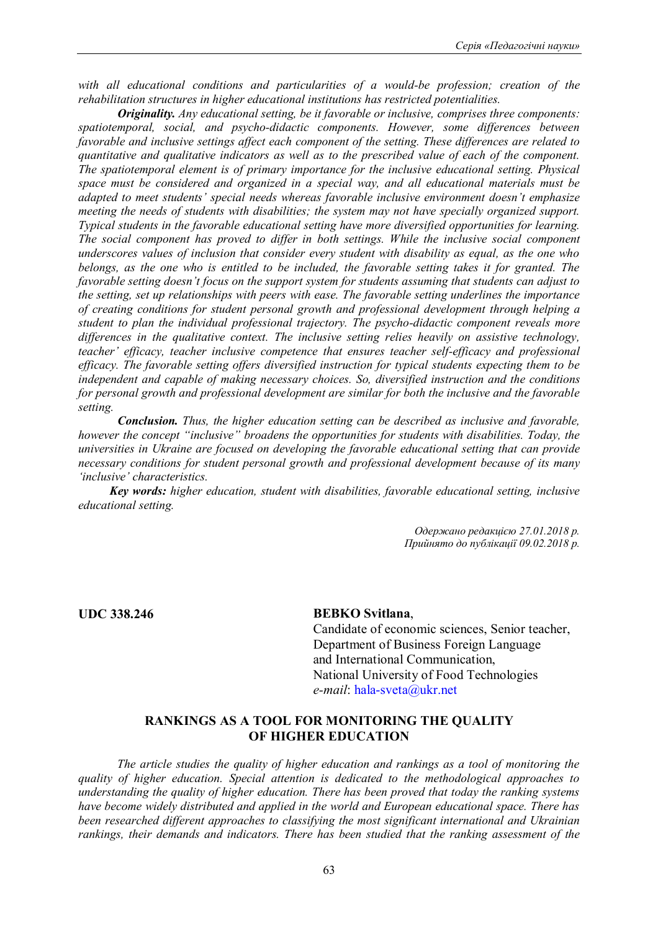*with all educational conditions and particularities of a would-be profession; creation of the rehabilitation structures in higher educational institutions has restricted potentialities.*

*Originality. Any educational setting, be it favorable or inclusive, comprises three components: spatiotemporal, social, and psycho-didactic components. However, some differences between favorable and inclusive settings affect each component of the setting. These differences are related to quantitative and qualitative indicators as well as to the prescribed value of each of the component. The spatiotemporal element is of primary importance for the inclusive educational setting. Physical space must be considered and organized in a special way, and all educational materials must be adapted to meet students' special needs whereas favorable inclusive environment doesn't emphasize meeting the needs of students with disabilities; the system may not have specially organized support. Typical students in the favorable educational setting have more diversified opportunities for learning. The social component has proved to differ in both settings. While the inclusive social component underscores values of inclusion that consider every student with disability as equal, as the one who belongs, as the one who is entitled to be included, the favorable setting takes it for granted. The favorable setting doesn't focus on the support system for students assuming that students can adjust to the setting, set up relationships with peers with ease. The favorable setting underlines the importance of creating conditions for student personal growth and professional development through helping a student to plan the individual professional trajectory. The psycho-didactic component reveals more differences in the qualitative context. The inclusive setting relies heavily on assistive technology, teacher' efficacy, teacher inclusive competence that ensures teacher self-efficacy and professional efficacy. The favorable setting offers diversified instruction for typical students expecting them to be independent and capable of making necessary choices. So, diversified instruction and the conditions for personal growth and professional development are similar for both the inclusive and the favorable setting.*

*Conclusion. Thus, the higher education setting can be described as inclusive and favorable, however the concept "inclusive" broadens the opportunities for students with disabilities. Today, the universities in Ukraine are focused on developing the favorable educational setting that can provide necessary conditions for student personal growth and professional development because of its many 'inclusive' characteristics.*

*Key words: higher education, student with disabilities, favorable educational setting, inclusive educational setting.*

> *Одержано редакцією 27.01.2018 р. Прийнято до публікації 09.02.2018 р.*

## **UDC 338.246 BEBKO Svitlana**,

Candidate of economic sciences, Senior teacher, Department of Business Foreign Language and International Communication, National University of Food Technologies *e-mail*: hala-sveta@ukr.net

# **RANKINGS AS A TOOL FOR MONITORING THE QUALITY OF HIGHER EDUCATION**

*The article studies the quality of higher education and rankings as a tool of monitoring the quality of higher education. Special attention is dedicated to the methodological approaches to understanding the quality of higher education. There has been proved that today the ranking systems have become widely distributed and applied in the world and European educational space. There has been researched different approaches to classifying the most significant international and Ukrainian rankings, their demands and indicators. There has been studied that the ranking assessment of the*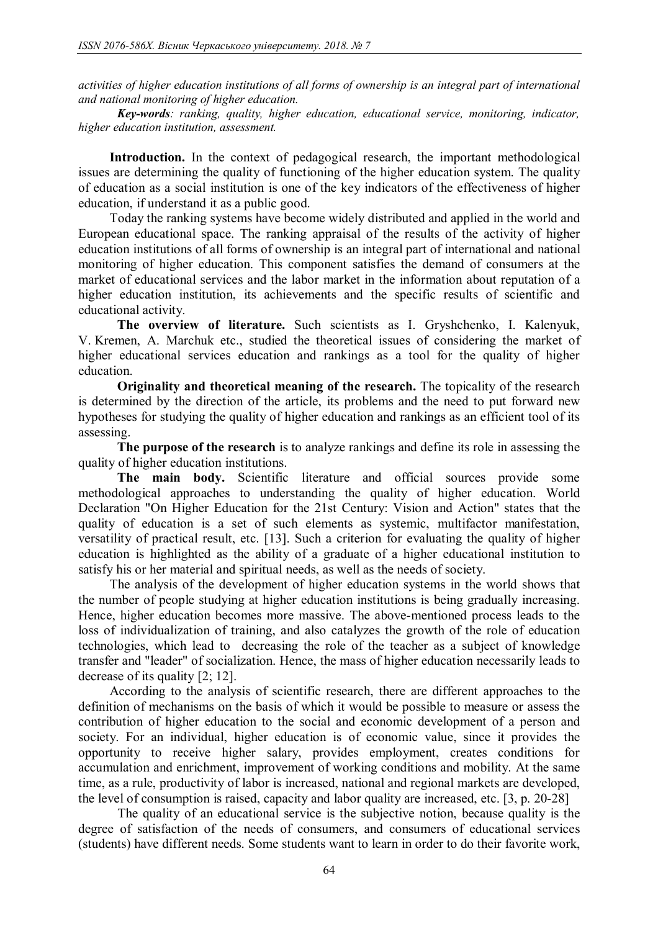*activities of higher education institutions of all forms of ownership is an integral part of international and national monitoring of higher education.* 

*Key-words: ranking, quality, higher education, educational service, monitoring, indicator, higher education institution, assessment.*

**Introduction.** In the context of pedagogical research, the important methodological issues are determining the quality of functioning of the higher education system. The quality of education as a social institution is one of the key indicators of the effectiveness of higher education, if understand it as a public good.

Today the ranking systems have become widely distributed and applied in the world and European educational space. The ranking appraisal of the results of the activity of higher education institutions of all forms of ownership is an integral part of international and national monitoring of higher education. This component satisfies the demand of consumers at the market of educational services and the labor market in the information about reputation of a higher education institution, its achievements and the specific results of scientific and educational activity.

**The overview of literature.** Such scientists as I. Gryshchenko, I. Kalenyuk, V. Kremen, A. Marchuk etc., studied the theoretical issues of considering the market of higher educational services education and rankings as a tool for the quality of higher education.

**Originality and theoretical meaning of the research.** The topicality of the research is determined by the direction of the article, its problems and the need to put forward new hypotheses for studying the quality of higher education and rankings as an efficient tool of its assessing.

**The purpose of the research** is to analyze rankings and define its role in assessing the quality of higher education institutions.

**The main body.** Scientific literature and official sources provide some methodological approaches to understanding the quality of higher education. World Declaration "On Higher Education for the 21st Century: Vision and Action" states that the quality of education is a set of such elements as systemic, multifactor manifestation, versatility of practical result, etc. [13]. Such a criterion for evaluating the quality of higher education is highlighted as the ability of a graduate of a higher educational institution to satisfy his or her material and spiritual needs, as well as the needs of society.

The analysis of the development of higher education systems in the world shows that the number of people studying at higher education institutions is being gradually increasing. Hence, higher education becomes more massive. The above-mentioned process leads to the loss of individualization of training, and also catalyzes the growth of the role of education technologies, which lead to decreasing the role of the teacher as a subject of knowledge transfer and "leader" of socialization. Hence, the mass of higher education necessarily leads to decrease of its quality [2; 12].

According to the analysis of scientific research, there are different approaches to the definition of mechanisms on the basis of which it would be possible to measure or assess the contribution of higher education to the social and economic development of a person and society. For an individual, higher education is of economic value, since it provides the opportunity to receive higher salary, provides employment, creates conditions for accumulation and enrichment, improvement of working conditions and mobility. At the same time, as a rule, productivity of labor is increased, national and regional markets are developed, the level of consumption is raised, capacity and labor quality are increased, etc. [3, p. 20-28]

The quality of an educational service is the subjective notion, because quality is the degree of satisfaction of the needs of consumers, and consumers of educational services (students) have different needs. Some students want to learn in order to do their favorite work,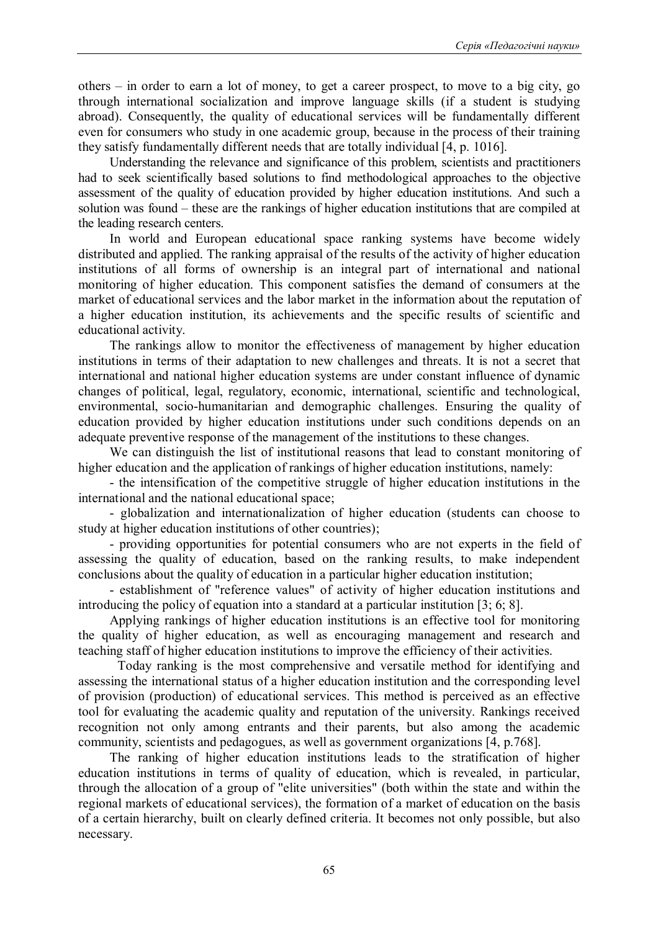others – in order to earn a lot of money, to get a career prospect, to move to a big city, go through international socialization and improve language skills (if a student is studying abroad). Consequently, the quality of educational services will be fundamentally different even for consumers who study in one academic group, because in the process of their training they satisfy fundamentally different needs that are totally individual [4, p. 1016].

Understanding the relevance and significance of this problem, scientists and practitioners had to seek scientifically based solutions to find methodological approaches to the objective assessment of the quality of education provided by higher education institutions. And such a solution was found – these are the rankings of higher education institutions that are compiled at the leading research centers.

In world and European educational space ranking systems have become widely distributed and applied. The ranking appraisal of the results of the activity of higher education institutions of all forms of ownership is an integral part of international and national monitoring of higher education. This component satisfies the demand of consumers at the market of educational services and the labor market in the information about the reputation of a higher education institution, its achievements and the specific results of scientific and educational activity.

The rankings allow to monitor the effectiveness of management by higher education institutions in terms of their adaptation to new challenges and threats. It is not a secret that international and national higher education systems are under constant influence of dynamic changes of political, legal, regulatory, economic, international, scientific and technological, environmental, socio-humanitarian and demographic challenges. Ensuring the quality of education provided by higher education institutions under such conditions depends on an adequate preventive response of the management of the institutions to these changes.

We can distinguish the list of institutional reasons that lead to constant monitoring of higher education and the application of rankings of higher education institutions, namely:

- the intensification of the competitive struggle of higher education institutions in the international and the national educational space;

- globalization and internationalization of higher education (students can choose to study at higher education institutions of other countries);

- providing opportunities for potential consumers who are not experts in the field of assessing the quality of education, based on the ranking results, to make independent conclusions about the quality of education in a particular higher education institution;

- establishment of "reference values" of activity of higher education institutions and introducing the policy of equation into a standard at a particular institution [3; 6; 8].

Applying rankings of higher education institutions is an effective tool for monitoring the quality of higher education, as well as encouraging management and research and teaching staff of higher education institutions to improve the efficiency of their activities.

Today ranking is the most comprehensive and versatile method for identifying and assessing the international status of a higher education institution and the corresponding level of provision (production) of educational services. This method is perceived as an effective tool for evaluating the academic quality and reputation of the university. Rankings received recognition not only among entrants and their parents, but also among the academic community, scientists and pedagogues, as well as government organizations [4, p.768].

The ranking of higher education institutions leads to the stratification of higher education institutions in terms of quality of education, which is revealed, in particular, through the allocation of a group of "elite universities" (both within the state and within the regional markets of educational services), the formation of a market of education on the basis of a certain hierarchy, built on clearly defined criteria. It becomes not only possible, but also necessary.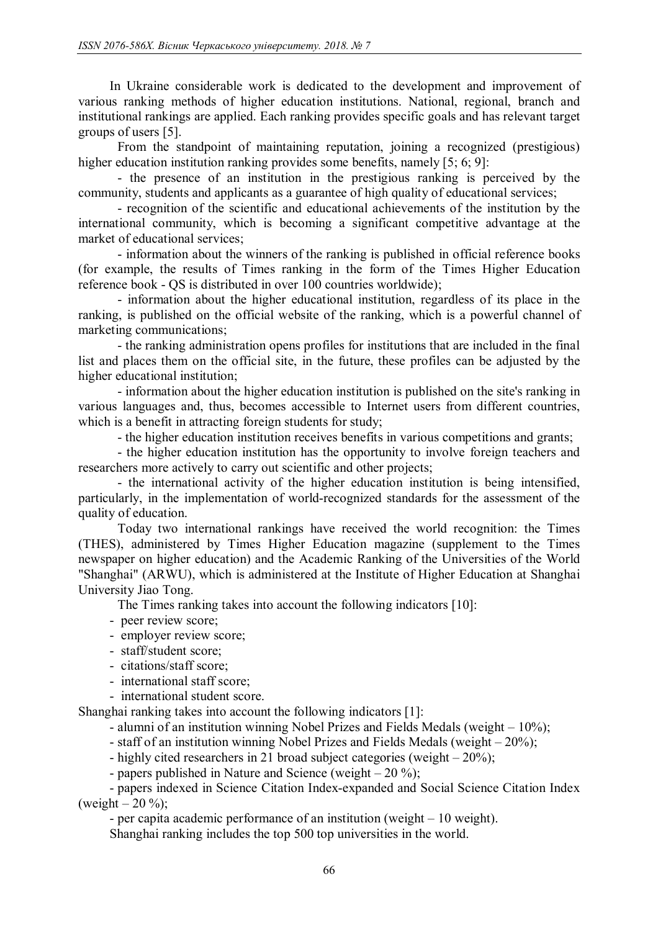In Ukraine considerable work is dedicated to the development and improvement of various ranking methods of higher education institutions. National, regional, branch and institutional rankings are applied. Each ranking provides specific goals and has relevant target groups of users [5].

From the standpoint of maintaining reputation, joining a recognized (prestigious) higher education institution ranking provides some benefits, namely [5; 6; 9]:

- the presence of an institution in the prestigious ranking is perceived by the community, students and applicants as a guarantee of high quality of educational services;

- recognition of the scientific and educational achievements of the institution by the international community, which is becoming a significant competitive advantage at the market of educational services;

- information about the winners of the ranking is published in official reference books (for example, the results of Times ranking in the form of the Times Higher Education reference book - QS is distributed in over 100 countries worldwide);

- information about the higher educational institution, regardless of its place in the ranking, is published on the official website of the ranking, which is a powerful channel of marketing communications;

- the ranking administration opens profiles for institutions that are included in the final list and places them on the official site, in the future, these profiles can be adjusted by the higher educational institution;

- information about the higher education institution is published on the site's ranking in various languages and, thus, becomes accessible to Internet users from different countries, which is a benefit in attracting foreign students for study;

- the higher education institution receives benefits in various competitions and grants;

- the higher education institution has the opportunity to involve foreign teachers and researchers more actively to carry out scientific and other projects;

- the international activity of the higher education institution is being intensified, particularly, in the implementation of world-recognized standards for the assessment of the quality of education.

Today two international rankings have received the world recognition: the Times (THES), administered by Times Higher Education magazine (supplement to the Times newspaper on higher education) and the Academic Ranking of the Universities of the World "Shanghai" (ARWU), which is administered at the Institute of Higher Education at Shanghai University Jiao Tong.

The Times ranking takes into account the following indicators [10]:

- peer review score;
- employer review score;
- staff/student score;
- citations/staff score;
- international staff score;
- international student score.

Shanghai ranking takes into account the following indicators [1]:

- alumni of an institution winning Nobel Prizes and Fields Medals (weight 10%);
- staff of an institution winning Nobel Prizes and Fields Medals (weight 20%);
- highly cited researchers in 21 broad subject categories (weight 20%);
- papers published in Nature and Science (weight  $-20\%$ );

- papers indexed in Science Citation Index-expanded and Social Science Citation Index (weight  $-20\%$ );

- per capita academic performance of an institution (weight – 10 weight).

Shanghai ranking includes the top 500 top universities in the world.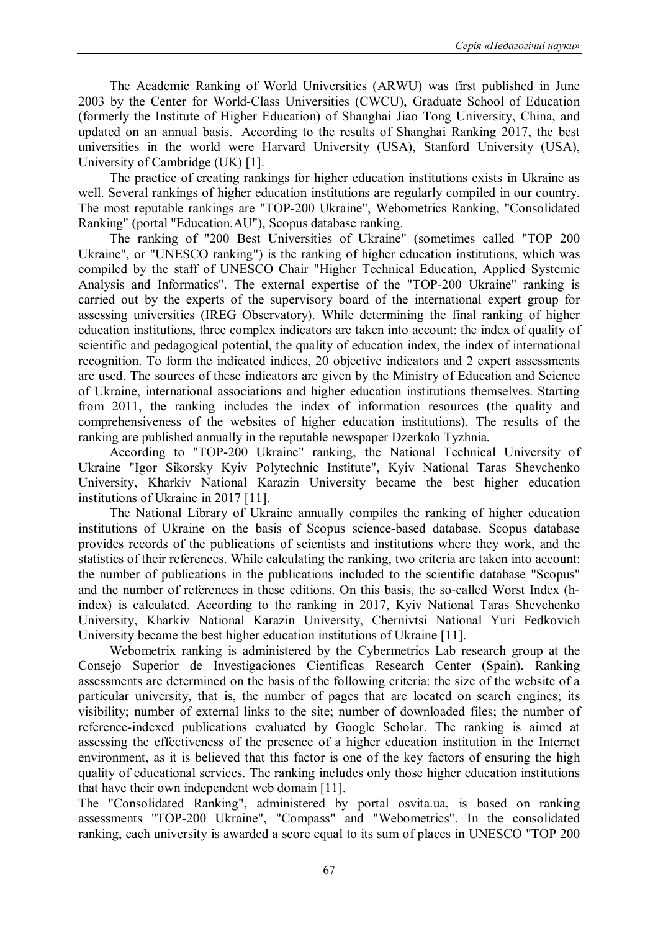The Academic Ranking of World Universities (ARWU) was first published in June 2003 by the Center for World-Class Universities (CWCU), Graduate School of Education (formerly the Institute of Higher Education) of Shanghai Jiao Tong University, China, and updated on an annual basis. According to the results of Shanghai Ranking 2017, the best universities in the world were Harvard University (USA), Stanford University (USA), University of Cambridge (UK) [1].

The practice of creating rankings for higher education institutions exists in Ukraine as well. Several rankings of higher education institutions are regularly compiled in our country. The most reputable rankings are "TOP-200 Ukraine", Webometrics Ranking, "Consolidated Ranking" (portal "Education.AU"), Scopus database ranking.

The ranking of "200 Best Universities of Ukraine" (sometimes called "TOP 200 Ukraine", or "UNESCO ranking") is the ranking of higher education institutions, which was compiled by the staff of UNESCO Chair "Higher Technical Education, Applied Systemic Analysis and Informatics". The external expertise of the "TOP-200 Ukraine" ranking is carried out by the experts of the supervisory board of the international expert group for assessing universities (IREG Observatory). While determining the final ranking of higher education institutions, three complex indicators are taken into account: the index of quality of scientific and pedagogical potential, the quality of education index, the index of international recognition. To form the indicated indices, 20 objective indicators and 2 expert assessments are used. The sources of these indicators are given by the Ministry of Education and Science of Ukraine, international associations and higher education institutions themselves. Starting from 2011, the ranking includes the index of information resources (the quality and comprehensiveness of the websites of higher education institutions). The results of the ranking are published annually in the reputable newspaper Dzerkalo Tyzhnia.

According to "TOP-200 Ukraine" ranking, the National Technical University of Ukraine "Igor Sikorsky Kyiv Polytechnic Institute", Kyiv National Taras Shevchenko University, Kharkiv National Karazin University became the best higher education institutions of Ukraine in 2017 [11].

The National Library of Ukraine annually compiles the ranking of higher education institutions of Ukraine on the basis of Scopus science-based database. Scopus database provides records of the publications of scientists and institutions where they work, and the statistics of their references. While calculating the ranking, two criteria are taken into account: the number of publications in the publications included to the scientific database "Scopus" and the number of references in these editions. On this basis, the so-called Worst Index (hindex) is calculated. According to the ranking in 2017, Kyiv National Taras Shevchenko University, Kharkiv National Karazin University, Chernivtsi National Yuri Fedkovich University became the best higher education institutions of Ukraine [11].

Webometrix ranking is administered by the Cybermetrics Lab research group at the Consejo Superior de Investigaciones Cientificas Research Center (Spain). Ranking assessments are determined on the basis of the following criteria: the size of the website of a particular university, that is, the number of pages that are located on search engines; its visibility; number of external links to the site; number of downloaded files; the number of reference-indexed publications evaluated by Google Scholar. The ranking is aimed at assessing the effectiveness of the presence of a higher education institution in the Internet environment, as it is believed that this factor is one of the key factors of ensuring the high quality of educational services. The ranking includes only those higher education institutions that have their own independent web domain [11].

The "Consolidated Ranking", administered by portal osvita.ua, is based on ranking assessments "TOP-200 Ukraine", "Compass" and "Webometrics". In the consolidated ranking, each university is awarded a score equal to its sum of places in UNESCO "TOP 200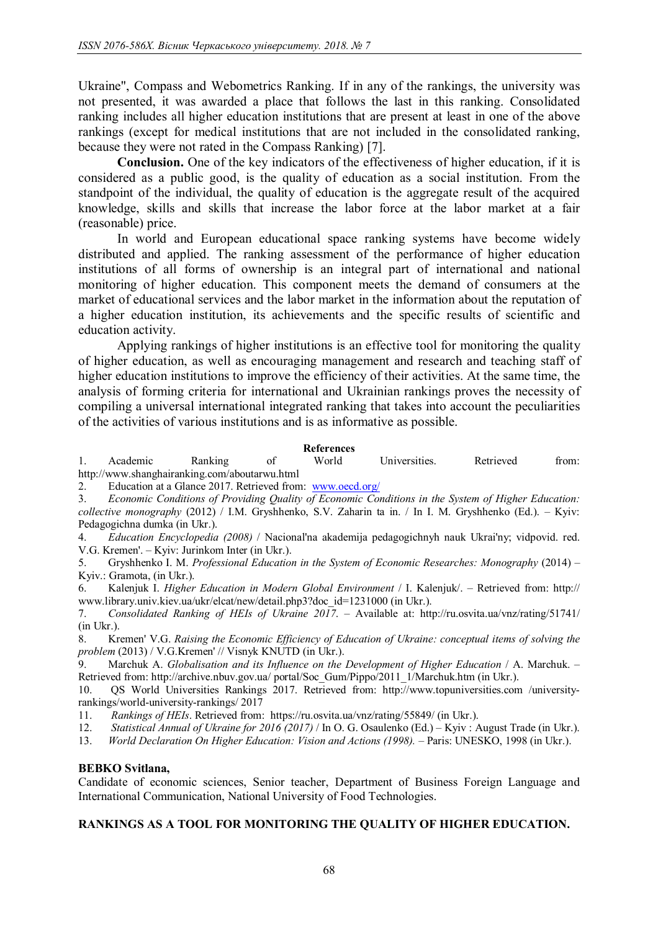Ukraine", Compass and Webometrics Ranking. If in any of the rankings, the university was not presented, it was awarded a place that follows the last in this ranking. Consolidated ranking includes all higher education institutions that are present at least in one of the above rankings (except for medical institutions that are not included in the consolidated ranking, because they were not rated in the Compass Ranking) [7].

**Conclusion.** One of the key indicators of the effectiveness of higher education, if it is considered as a public good, is the quality of education as a social institution. From the standpoint of the individual, the quality of education is the aggregate result of the acquired knowledge, skills and skills that increase the labor force at the labor market at a fair (reasonable) price.

In world and European educational space ranking systems have become widely distributed and applied. The ranking assessment of the performance of higher education institutions of all forms of ownership is an integral part of international and national monitoring of higher education. This component meets the demand of consumers at the market of educational services and the labor market in the information about the reputation of a higher education institution, its achievements and the specific results of scientific and education activity.

Applying rankings of higher institutions is an effective tool for monitoring the quality of higher education, as well as encouraging management and research and teaching staff of higher education institutions to improve the efficiency of their activities. At the same time, the analysis of forming criteria for international and Ukrainian rankings proves the necessity of compiling a universal international integrated ranking that takes into account the peculiarities of the activities of various institutions and is as informative as possible.

### **References**

1. Academic Ranking of World Universities. Retrieved from: http://www.shanghairanking.com/aboutarwu.html

2. Education at a Glance 2017. Retrieved from: www.oecd.org/

3. *Economic Conditions of Providing Quality of Economic Conditions in the System of Higher Education: collective monography* (2012) / I.M. Gryshhenko, S.V. Zaharin ta in. / In I. M. Gryshhenko (Ed.). – Kyiv: Pedagogichna dumka (in Ukr.).

4. *Education Encyclopedia (2008)* / Nacional'na akademija pedagogichnyh nauk Ukrai'ny; vidpovid. red. V.G. Kremen'. – Kyiv: Jurinkom Inter (in Ukr.).

5. Gryshhenko I. M. *Professional Education in the System of Economic Researches: Monography* (2014) – Kyiv.: Gramota, (in Ukr.).

6. Kalenjuk I. *Higher Education in Modern Global Environment* / I. Kalenjuk/. – Retrieved from: http:// www.library.univ.kiev.ua/ukr/elcat/new/detail.php3?doc\_id=1231000 (in Ukr.).

7. *Consolidated Ranking of HEIs of Ukraine 2017*. – Available at: http://ru.osvita.ua/vnz/rating/51741/ (in Ukr.).

8. Kremen' V.G. *Raising the Economic Efficiency of Education of Ukraine: conceptual items of solving the problem* (2013) / V.G.Kremen' // Visnyk KNUTD (in Ukr.).

9. Marchuk A. *Globalisation and its Influence on the Development of Higher Education* / A. Marchuk. – Retrieved from: http://archive.nbuv.gov.ua/ portal/Soc\_Gum/Pippo/2011\_1/Marchuk.htm (in Ukr.).

10. QS World Universities Rankings 2017. Retrieved from: http://www.topuniversities.com /universityrankings/world-university-rankings/ 2017

11. *Rankings of HEIs*. Retrieved from: https://ru.osvita.ua/vnz/rating/55849/ (in Ukr.).

12. *Statistical Annual of Ukraine for 2016 (2017)* / In O. G. Osaulenko (Ed.) – Kyiv : August Trade (in Ukr.).

13. *World Declaration On Higher Education: Vision and Actions (1998).* – Paris: UNESKO, 1998 (in Ukr.).

## **BEBKO Svitlana,**

Candidate of economic sciences, Senior teacher, Department of Business Foreign Language and International Communication, National University of Food Technologies.

# **RANKINGS AS A TOOL FOR MONITORING THE QUALITY OF HIGHER EDUCATION.**